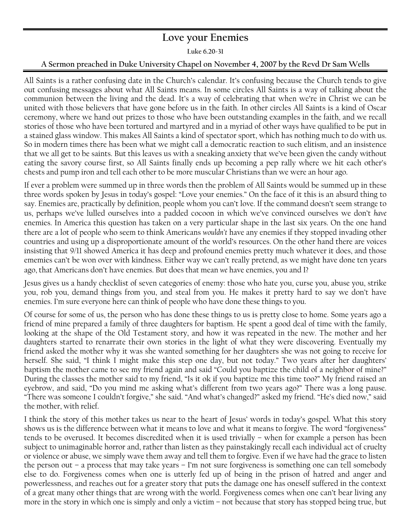## **Love your Enemies**

**Luke 6.20-31** 

## **A Sermon preached in Duke University Chapel on November 4, 2007 by the Revd Dr Sam Wells**

All Saints is a rather confusing date in the Church's calendar. It's confusing because the Church tends to give out confusing messages about what All Saints means. In some circles All Saints is a way of talking about the communion between the living and the dead. It's a way of celebrating that when we're in Christ we can be united with those believers that have gone before us in the faith. In other circles All Saints is a kind of Oscar ceremony, where we hand out prizes to those who have been outstanding examples in the faith, and we recall stories of those who have been tortured and martyred and in a myriad of other ways have qualified to be put in a stained glass window. This makes All Saints a kind of spectator sport, which has nothing much to do with us. So in modern times there has been what we might call a democratic reaction to such elitism, and an insistence that we all get to be saints. But this leaves us with a sneaking anxiety that we've been given the candy without eating the savory course first, so All Saints finally ends up becoming a pep rally where we hit each other's chests and pump iron and tell each other to be more muscular Christians than we were an hour ago.

If ever a problem were summed up in three words then the problem of All Saints would be summed up in these three words spoken by Jesus in today's gospel: "Love your enemies." On the face of it this is an absurd thing to say. Enemies are, practically by definition, people whom you can't love. If the command doesn't seem strange to us, perhaps we've lulled ourselves into a padded cocoon in which we've convinced ourselves we don't *have* enemies. In America this question has taken on a very particular shape in the last six years. On the one hand there are a lot of people who seem to think Americans *wouldn't* have any enemies if they stopped invading other countries and using up a disproportionate amount of the world's resources. On the other hand there are voices insisting that 9/11 showed America it has deep and profound enemies pretty much whatever it does, and those ememies can't be won over with kindness. Either way we can't really pretend, as we might have done ten years ago, that Americans don't have enemies. But does that mean *we* have enemies, you and I?

Jesus gives us a handy checklist of seven categories of enemy: those who hate you, curse you, abuse you, strike you, rob you, demand things from you, and steal from you. He makes it pretty hard to say we don't have enemies. I'm sure everyone here can think of people who have done these things to you.

Of course for some of us, the person who has done these things to us is pretty close to home. Some years ago a friend of mine prepared a family of three daughters for baptism. He spent a good deal of time with the family, looking at the shape of the Old Testament story, and how it was repeated in the new. The mother and her daughters started to renarrate their own stories in the light of what they were discovering. Eventually my friend asked the mother why it was she wanted something for her daughters she was not going to receive for herself. She said, "I think I might make this step one day, but not today." Two years after her daughters' baptism the mother came to see my friend again and said "Could you baptize the child of a neighbor of mine?" During the classes the mother said to my friend, "Is it ok if you baptize me this time too?" My friend raised an eyebrow, and said, "Do you mind me asking what's different from two years ago?" There was a long pause. "There was someone I couldn't forgive," she said. "And what's changed?" asked my friend. "He's died now," said the mother, with relief.

I think the story of this mother takes us near to the heart of Jesus' words in today's gospel. What this story shows us is the difference between what it means to love and what it means to forgive. The word "forgiveness" tends to be overused. It becomes discredited when it is used trivially – when for example a person has been subject to unimaginable horror and, rather than listen as they painstakingly recall each individual act of cruelty or violence or abuse, we simply wave them away and tell them to forgive. Even if we have had the grace to listen the person out – a process that may take years – I'm not sure forgiveness is something one can tell somebody else to do. Forgiveness comes when one is utterly fed up of being in the prison of hatred and anger and powerlessness, and reaches out for a greater story that puts the damage one has oneself suffered in the context of a great many other things that are wrong with the world. Forgiveness comes when one can't bear living any more in the story in which one is simply and only a victim – not because that story has stopped being true, but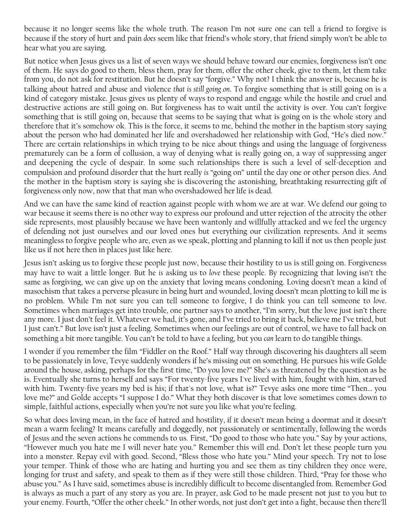because it no longer seems like the whole truth. The reason I'm not sure one can tell a friend to forgive is because if the story of hurt and pain *does* seem like that friend's whole story, that friend simply won't be able to hear what you are saying.

But notice when Jesus gives us a list of seven ways we should behave toward our enemies, forgiveness isn't one of them. He says do good to them, bless them, pray for them, offer the other cheek, give to them, let them take from you, do not ask for restitution. But he doesn't say "forgive." Why not? I think the answer is, because he is talking about hatred and abuse and violence *that is still going on*. To forgive something that is still going on is a kind of category mistake. Jesus gives us plenty of ways to respond and engage while the hostile and cruel and destructive actions are still going on. But forgiveness has to wait until the activity is over. You can't forgive something that is still going on, because that seems to be saying that what is going on is the whole story and therefore that it's somehow ok. This is the force, it seems to me, behind the mother in the baptism story saying about the person who had dominated her life and overshadowed her relationship with God, "He's died now." There are certain relationships in which trying to be nice about things and using the language of forgiveness prematurely can be a form of collusion, a way of denying what is really going on, a way of suppressing anger and deepening the cycle of despair. In some such relationships there is such a level of self-deception and compulsion and profound disorder that the hurt really *is* "going on" until the day one or other person dies. And the mother in the baptism story is saying she is discovering the astonishing, breathtaking resurrecting gift of forgiveness only now, now that that man who overshadowed her life is dead.

And we can have the same kind of reaction against people with whom we are at war. We defend our going to war because it seems there is no other way to express our profound and utter rejection of the atrocity the other side represents, most plausibly because we have been wantonly and willfully attacked and we feel the urgency of defending not just ourselves and our loved ones but everything our civilization represents. And it seems meaningless to forgive people who are, even as we speak, plotting and planning to kill if not us then people just like us if not here then in places just like here.

Jesus isn't asking us to forgive these people just now, because their hostility to us is still going on. Forgiveness may have to wait a little longer. But he *is* asking us to *love* these people. By recognizing that loving isn't the same as forgiving, we can give up on the anxiety that loving means condoning. Loving doesn't mean a kind of masochism that takes a perverse pleasure in being hurt and wounded, loving doesn't mean plotting to kill me is no problem. While I'm not sure you can tell someone to forgive, I do think you can tell someone to *love*. Sometimes when marriages get into trouble, one partner says to another, "I'm sorry, but the love just isn't there any more. I just don't feel it. Whatever we had, it's gone, and I've tried to bring it back, believe me I've tried, but I just can't." But love isn't just a feeling. Sometimes when our feelings are out of control, we have to fall back on something a bit more tangible. You can't be told to have a feeling, but you *can* learn to do tangible things.

I wonder if you remember the film "Fiddler on the Roof." Half way through discovering his daughters all seem to be passionately in love, Tevye suddenly wonders if he's missing out on something. He pursues his wife Golde around the house, asking, perhaps for the first time, "Do you love me?" She's as threatened by the question as he is. Eventually she turns to herself and says "For twenty-five years I've lived with him, fought with him, starved with him. Twenty-five years my bed is his; if that's not love, what is?" Tevye asks one more time "Then… you love me?" and Golde accepts "I suppose I do." What they both discover is that love sometimes comes down to simple, faithful actions, especially when you're not sure you like what you're feeling.

So what does loving mean, in the face of hatred and hostility, if it doesn't mean being a doormat and it doesn't mean a warm feeling? It means carefully and doggedly, not passionately or sentimentally, following the words of Jesus and the seven actions he commends to us. First, "Do good to those who hate you." Say by your actions, "However much you hate me I will never hate you." Remember this will end. Don't let these people turn you into a monster. Repay evil with good. Second, "Bless those who hate you." Mind your speech. Try not to lose your temper. Think of those who are hating and hurting you and see them as tiny children they once were, longing for trust and safety, and speak to them as if they were still those children. Third, "Pray for those who abuse you." As I have said, sometimes abuse is incredibly difficult to become disentangled from. Remember God is always as much a part of any story as you are. In prayer, ask God to be made present not just to you but to your enemy. Fourth, "Offer the other cheek." In other words, not just don't get into a fight, because then there'll